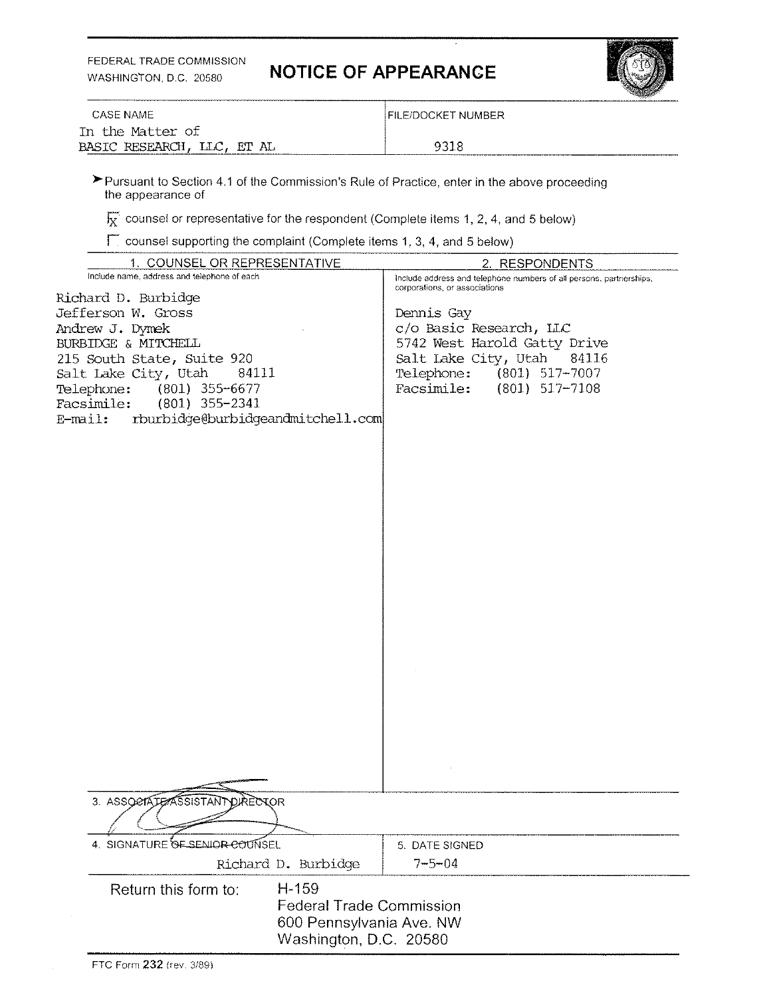FEDERAL TRADE COMMISSION

## WASHINGTON, D.C. 20580 **NOTICE OF APPEARANCE**



| In the Matter of | <b>CASE NAME</b>           | IFILE/DOCKET NUMBER |
|------------------|----------------------------|---------------------|
|                  |                            |                     |
| ---------------- | BASIC RESEARCH, LLC, ET AL | 9318                |

'Pursuant to Section 4.1 of the Commission's Rule of Practice, enter in the above proceeding the appearance of

 $\overline{\mathbf{k}}$  counsel or representative for the respondent (Complete items 1, 2, 4, and 5 below)

 $\Gamma$  counsel supporting the complaint (Complete items 1, 3, 4, and 5 below)

| 1. COUNSEL OR REPRESENTATIVE                                | 2. RESPONDENTS                                                                                       |
|-------------------------------------------------------------|------------------------------------------------------------------------------------------------------|
| Include name, address and telephone of each                 | Include address and telephone numbers of all persons, partnerships,<br>corporations, or associations |
| Richard D. Burbidge                                         |                                                                                                      |
| Jefferson W. Gross                                          | Dennis Gay                                                                                           |
| Andrew J. Dymek                                             | c/o Basic Research, LLC                                                                              |
| BURBIDGE & MITCHELL                                         | 5742 West Harold Gatty Drive                                                                         |
| 215 South State, Suite 920<br>Salt Lake City, Utah<br>84111 | Salt Lake City, Utah<br>84116<br>Telephone:<br>$(801)$ 517-7007                                      |
| Telephone:<br>$(801)$ 355-6677                              | Facsimile:<br>$(801)$ 517-7108                                                                       |
| Facsimile:<br>$(801)$ 355-2341                              |                                                                                                      |
| rburbidge@burbidgeandmitchell.com<br>$E$ -mail:             |                                                                                                      |
|                                                             |                                                                                                      |
|                                                             |                                                                                                      |
|                                                             |                                                                                                      |
|                                                             |                                                                                                      |
|                                                             |                                                                                                      |
|                                                             |                                                                                                      |
|                                                             |                                                                                                      |
|                                                             |                                                                                                      |
|                                                             |                                                                                                      |
|                                                             |                                                                                                      |
|                                                             |                                                                                                      |
|                                                             |                                                                                                      |
|                                                             |                                                                                                      |
|                                                             |                                                                                                      |
|                                                             |                                                                                                      |
|                                                             |                                                                                                      |
|                                                             |                                                                                                      |
|                                                             |                                                                                                      |
|                                                             |                                                                                                      |
|                                                             |                                                                                                      |
|                                                             |                                                                                                      |
|                                                             |                                                                                                      |
| 3. ASSOCIATE ASSISTANT<br>DIRECTOR                          |                                                                                                      |
|                                                             |                                                                                                      |
|                                                             |                                                                                                      |
| 4. SIGNATURE OF SENIOR COUNSEL                              | 5. DATE SIGNED                                                                                       |
| Richard D. Burbidge                                         | $7 - 5 - 04$                                                                                         |
| $H-159$<br>Return this form to:                             |                                                                                                      |
|                                                             | <b>Federal Trade Commission</b>                                                                      |
| 600 Pennsylvania Ave. NW<br>Washington, D.C. 20580          |                                                                                                      |
|                                                             |                                                                                                      |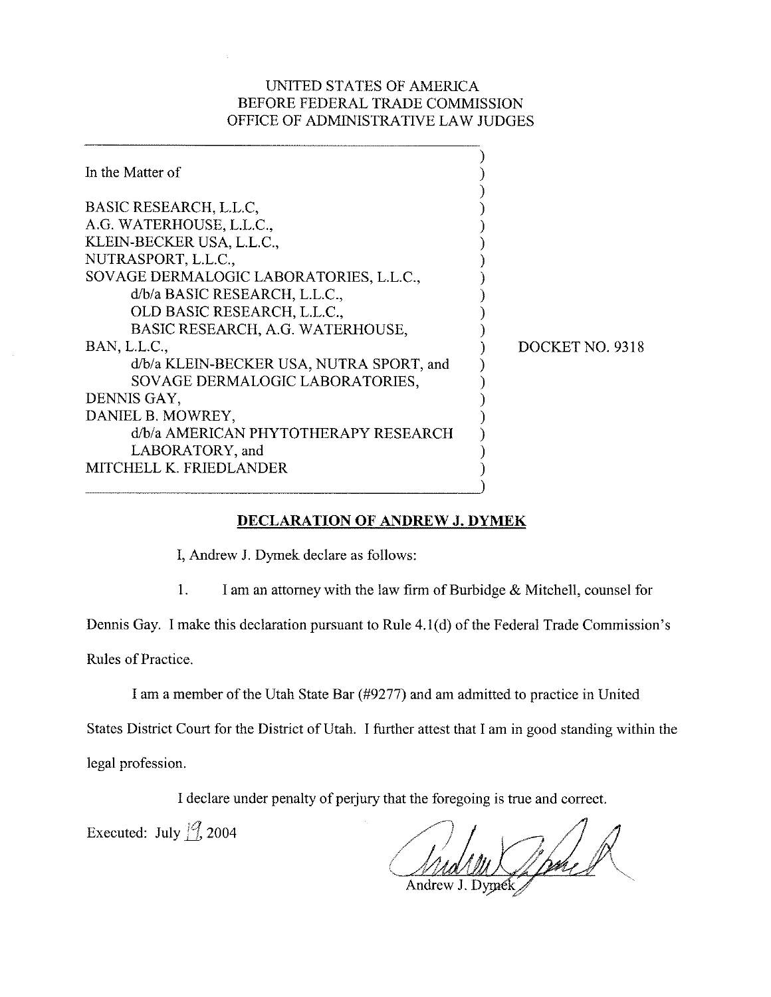## UNITED STATES OF AMERICA BEFORE FEDERAL TRADE COMMISSION OFFICE OF ADMINISTRATIVE LAW JUDGES

| In the Matter of                                                                                                                                                                                                                                                                                                                                                                                                                                                               |                 |
|--------------------------------------------------------------------------------------------------------------------------------------------------------------------------------------------------------------------------------------------------------------------------------------------------------------------------------------------------------------------------------------------------------------------------------------------------------------------------------|-----------------|
| BASIC RESEARCH, L.L.C.<br>A.G. WATERHOUSE, L.L.C.,<br>KLEIN-BECKER USA, L.L.C.,<br>NUTRASPORT, L.L.C.,<br>SOVAGE DERMALOGIC LABORATORIES, L.L.C.,<br>d/b/a BASIC RESEARCH, L.L.C.,<br>OLD BASIC RESEARCH, L.L.C.,<br>BASIC RESEARCH, A.G. WATERHOUSE,<br>BAN, L.L.C.,<br>d/b/a KLEIN-BECKER USA, NUTRA SPORT, and<br>SOVAGE DERMALOGIC LABORATORIES,<br>DENNIS GAY,<br>DANIEL B. MOWREY,<br>d/b/a AMERICAN PHYTOTHERAPY RESEARCH<br>LABORATORY, and<br>MITCHELL K. FRIEDLANDER | DOCKET NO. 9318 |
|                                                                                                                                                                                                                                                                                                                                                                                                                                                                                |                 |

## **DECLARATION OF ANDREW J. DYMEK**

I, Andrew J. Dymek declare as follows:

1. I am an attorney with the law firm of Burbidge & Mitchell, counsel for

Dennis Gay. I make this declaration pursuant to Rule 4.l(d) of the Federal Trade Commission's

Rules of Practice.

I am a member of the Utah State Bar (#9277) and am admitted to practice in United

States District Court for the District of Utah. I further attest that I am in good standing within the

legal profession.

I declare under penalty of perjury that the foregoing is true and correct.

Executed: July  $\frac{1}{7}$ , 2004

Wome I

Andrew J. Dymek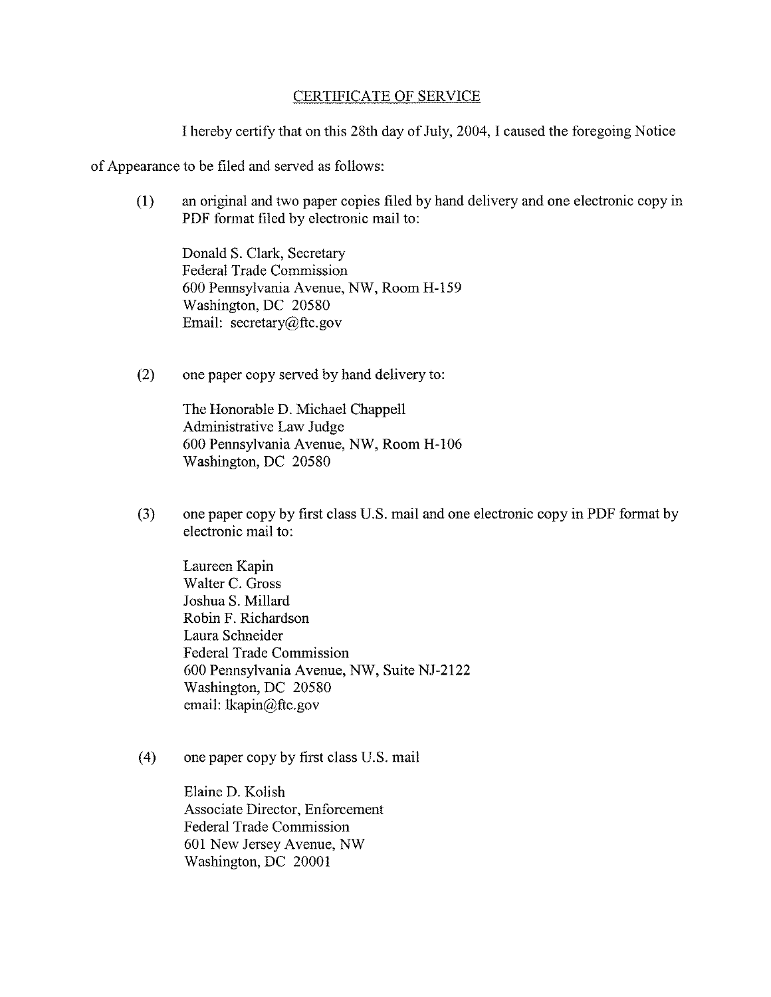## CERTIFICATE OF SERVICE

I hereby certify that on this 28th day of July, 2004,I caused the foregoing Notice

of Appearance to be filed and served as follows:

(1) an original and two paper copies filed by hand delivery and one electronic copy in PDF format filed by electronic mail to:

Donald S. Clark, Secretary Federal Trade Commission 600 Pennsylvania Avenue, NW, Room H-159 Washington, DC 20580 Email: secretary@ftc.gov

(2) one paper copy served by hand delivery to:

The Honorable D. Michael Chappell Administrative Law Judge 600 Pennsylvania Avenue, *NW,* Room H-106 Washington, DC 20580

**(3)** one paper copy by first class U.S. mail and one electronic copy in PDF format by electronic mail to:

Laureen Kapin Walter C. Gross Joshua S. Millard Robin F. Richardson Laura Schneider Federal Trade Commission 600 Pennsylvania Avenue, NW, Suite NJ-2122 Washington, DC 20580 email: lkapin@ftc.gov

(4) one paper copy by first class U.S. mail

Elaine D. Kolish Associate Director, Enforcement Federal Trade Commission 601 New Jersey Avenue, NW Washington, DC 20001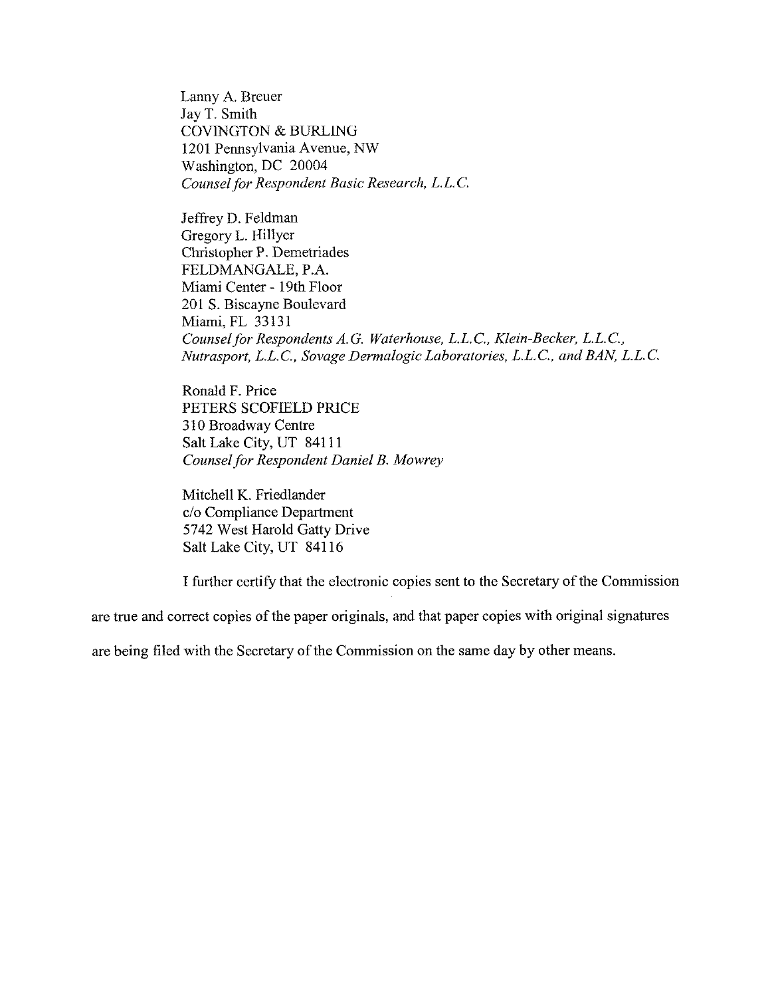Lanny A. Breuer Jay T. Smith COVINGTON & BURLING 1201 Pennsylvania Avenue, NW Washington, DC 20004 *Counsel for Respondent Basic Research, L.L.C.* 

Jeffrey D. Fcldman Gregory L. Hillyer Cluislopher P. Demetriades FELDMANGALE, P.A. Miami Center - 19th Floor 201 S. Biscayne Boulevard Miami, FL 33131 *Counsel for Respondents A.G. Wnterhouse, L.L.C., Klein-Becker, L.L.C., Nutrasport, L.L.C., Sovage Dermalogic Laboratories, L.L.C., and BAN, L.L.C.* 

Ronald F. Price PETERS SCOFIELD PRICE 310 Broadway Centre Salt Lake City, UT 841 11 **Counsel for Respondent Daniel B. Mowrey** 

Mitchell K. Friedlander c/o Compliance Department 5742 West Harold Gatty Drive Salt Lake City, UT 841 16

I further certify that the electronic copies sent to the Secretary of the Commission

are true and correct copies of the paper originals, and that paper copies with original signatures

are being filed with the Secretary of the Commission on the same day by other means.